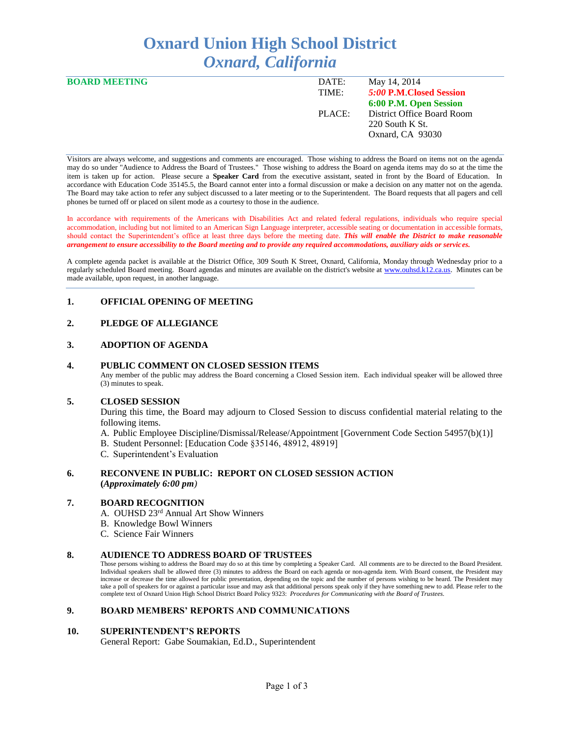# **Oxnard Union High School District** *Oxnard, California*

| <b>BOARD MEETING</b> | DATE:  | May 14, 2014               |
|----------------------|--------|----------------------------|
|                      | TIME:  | 5:00 P.M. Closed Session   |
|                      |        | 6:00 P.M. Open Session     |
|                      | PLACE: | District Office Board Room |
|                      |        | 220 South K St.            |
|                      |        | Oxnard, CA 93030           |
|                      |        |                            |

Visitors are always welcome, and suggestions and comments are encouraged. Those wishing to address the Board on items not on the agenda may do so under "Audience to Address the Board of Trustees." Those wishing to address the Board on agenda items may do so at the time the item is taken up for action. Please secure a **Speaker Card** from the executive assistant, seated in front by the Board of Education. In accordance with Education Code 35145.5, the Board cannot enter into a formal discussion or make a decision on any matter not on the agenda. The Board may take action to refer any subject discussed to a later meeting or to the Superintendent. The Board requests that all pagers and cell phones be turned off or placed on silent mode as a courtesy to those in the audience.

In accordance with requirements of the Americans with Disabilities Act and related federal regulations, individuals who require special accommodation, including but not limited to an American Sign Language interpreter, accessible seating or documentation in accessible formats, should contact the Superintendent's office at least three days before the meeting date. *This will enable the District to make reasonable arrangement to ensure accessibility to the Board meeting and to provide any required accommodations, auxiliary aids or services.* 

A complete agenda packet is available at the District Office, 309 South K Street, Oxnard, California, Monday through Wednesday prior to a regularly scheduled Board meeting. Board agendas and minutes are available on the district's website at [www.ouhsd.k12.ca.us.](http://www.ouhsd.k12.ca.us/)Minutes can be made available, upon request, in another language.

## **1. OFFICIAL OPENING OF MEETING**

## **2. PLEDGE OF ALLEGIANCE**

## **3. ADOPTION OF AGENDA**

#### **4. PUBLIC COMMENT ON CLOSED SESSION ITEMS**

Any member of the public may address the Board concerning a Closed Session item. Each individual speaker will be allowed three (3) minutes to speak.

#### **5. CLOSED SESSION**

During this time, the Board may adjourn to Closed Session to discuss confidential material relating to the following items.

- A. Public Employee Discipline/Dismissal/Release/Appointment [Government Code Section 54957(b)(1)]
- B. Student Personnel: [Education Code §35146, 48912, 48919]
- C. Superintendent's Evaluation

#### **6. RECONVENE IN PUBLIC: REPORT ON CLOSED SESSION ACTION (***Approximately 6:00 pm)*

## **7. BOARD RECOGNITION**

- A. OUHSD 23rd Annual Art Show Winners
- B. Knowledge Bowl Winners
- C. Science Fair Winners

#### **8. AUDIENCE TO ADDRESS BOARD OF TRUSTEES**

Those persons wishing to address the Board may do so at this time by completing a Speaker Card. All comments are to be directed to the Board President. Individual speakers shall be allowed three (3) minutes to address the Board on each agenda or non-agenda item. With Board consent, the President may increase or decrease the time allowed for public presentation, depending on the topic and the number of persons wishing to be heard. The President may take a poll of speakers for or against a particular issue and may ask that additional persons speak only if they have something new to add. Please refer to the complete text of Oxnard Union High School District Board Policy 9323: *Procedures for Communicating with the Board of Trustees.*

### **9. BOARD MEMBERS' REPORTS AND COMMUNICATIONS**

#### **10. SUPERINTENDENT'S REPORTS**

General Report: Gabe Soumakian, Ed.D., Superintendent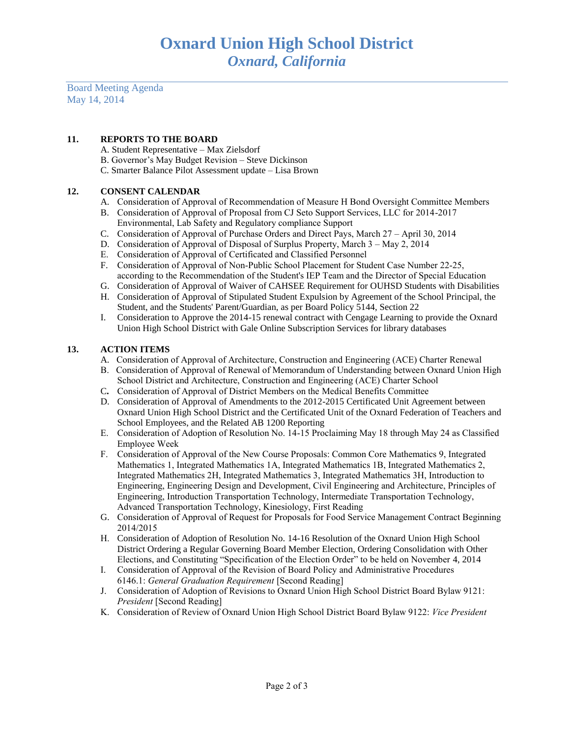Board Meeting Agenda May 14, 2014

## **11. REPORTS TO THE BOARD**

- A. Student Representative Max Zielsdorf
- B. Governor's May Budget Revision Steve Dickinson
- C. Smarter Balance Pilot Assessment update Lisa Brown

# **12. CONSENT CALENDAR**

- A. Consideration of Approval of Recommendation of Measure H Bond Oversight Committee Members
- B. Consideration of Approval of Proposal from CJ Seto Support Services, LLC for 2014-2017 Environmental, Lab Safety and Regulatory compliance Support
- C. Consideration of Approval of Purchase Orders and Direct Pays, March 27 April 30, 2014
- D. Consideration of Approval of Disposal of Surplus Property, March 3 May 2, 2014
- E. Consideration of Approval of Certificated and Classified Personnel
- F. Consideration of Approval of Non-Public School Placement for Student Case Number 22-25, according to the Recommendation of the Student's IEP Team and the Director of Special Education
- G. Consideration of Approval of Waiver of CAHSEE Requirement for OUHSD Students with Disabilities
- H. Consideration of Approval of Stipulated Student Expulsion by Agreement of the School Principal, the Student, and the Students' Parent/Guardian, as per Board Policy 5144, Section 22
- I. Consideration to Approve the 2014-15 renewal contract with Cengage Learning to provide the Oxnard Union High School District with Gale Online Subscription Services for library databases

# **13. ACTION ITEMS**

- A.Consideration of Approval of Architecture, Construction and Engineering (ACE) Charter Renewal
- B. Consideration of Approval of Renewal of Memorandum of Understanding between Oxnard Union High School District and Architecture, Construction and Engineering (ACE) Charter School
- C**.** Consideration of Approval of District Members on the Medical Benefits Committee
- D. Consideration of Approval of Amendments to the 2012-2015 Certificated Unit Agreement between Oxnard Union High School District and the Certificated Unit of the Oxnard Federation of Teachers and School Employees, and the Related AB 1200 Reporting
- E. Consideration of Adoption of Resolution No. 14-15 Proclaiming May 18 through May 24 as Classified Employee Week
- F. Consideration of Approval of the New Course Proposals: Common Core Mathematics 9, Integrated Mathematics 1, Integrated Mathematics 1A, Integrated Mathematics 1B, Integrated Mathematics 2, Integrated Mathematics 2H, Integrated Mathematics 3, Integrated Mathematics 3H, Introduction to Engineering, Engineering Design and Development, Civil Engineering and Architecture, Principles of Engineering, Introduction Transportation Technology, Intermediate Transportation Technology, Advanced Transportation Technology, Kinesiology, First Reading
- G. Consideration of Approval of Request for Proposals for Food Service Management Contract Beginning 2014/2015
- H. Consideration of Adoption of Resolution No. 14-16 Resolution of the Oxnard Union High School District Ordering a Regular Governing Board Member Election, Ordering Consolidation with Other Elections, and Constituting "Specification of the Election Order" to be held on November 4, 2014
- I. Consideration of Approval of the Revision of Board Policy and Administrative Procedures 6146.1: *General Graduation Requirement* [Second Reading]
- J. Consideration of Adoption of Revisions to Oxnard Union High School District Board Bylaw 9121: *President* [Second Reading]
- K. Consideration of Review of Oxnard Union High School District Board Bylaw 9122: *Vice President*